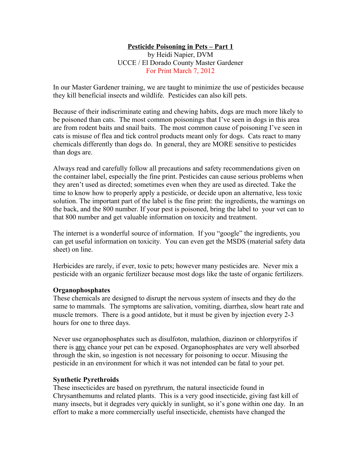### **Pesticide Poisoning in Pets – Part 1**

by Heidi Napier, DVM UCCE / El Dorado County Master Gardener For Print March 7, 2012

In our Master Gardener training, we are taught to minimize the use of pesticides because they kill beneficial insects and wildlife. Pesticides can also kill pets.

Because of their indiscriminate eating and chewing habits, dogs are much more likely to be poisoned than cats. The most common poisonings that I've seen in dogs in this area are from rodent baits and snail baits. The most common cause of poisoning I've seen in cats is misuse of flea and tick control products meant only for dogs. Cats react to many chemicals differently than dogs do. In general, they are MORE sensitive to pesticides than dogs are.

Always read and carefully follow all precautions and safety recommendations given on the container label, especially the fine print. Pesticides can cause serious problems when they aren't used as directed; sometimes even when they are used as directed. Take the time to know how to properly apply a pesticide, or decide upon an alternative, less toxic solution. The important part of the label is the fine print: the ingredients, the warnings on the back, and the 800 number. If your pest is poisoned, bring the label to your vet can to that 800 number and get valuable information on toxicity and treatment.

The internet is a wonderful source of information. If you "google" the ingredients, you can get useful information on toxicity. You can even get the MSDS (material safety data sheet) on line.

Herbicides are rarely, if ever, toxic to pets; however many pesticides are. Never mix a pesticide with an organic fertilizer because most dogs like the taste of organic fertilizers.

### **Organophosphates**

These chemicals are designed to disrupt the nervous system of insects and they do the same to mammals. The symptoms are salivation, vomiting, diarrhea, slow heart rate and muscle tremors. There is a good antidote, but it must be given by injection every 2-3 hours for one to three days.

Never use organophosphates such as disulfoton, malathion, diazinon or chlorpyrifos if there is any chance your pet can be exposed. Organophosphates are very well absorbed through the skin, so ingestion is not necessary for poisoning to occur. Misusing the pesticide in an environment for which it was not intended can be fatal to your pet.

### **Synthetic Pyrethroids**

These insecticides are based on pyrethrum, the natural insecticide found in Chrysanthemums and related plants. This is a very good insecticide, giving fast kill of many insects, but it degrades very quickly in sunlight, so it's gone within one day. In an effort to make a more commercially useful insecticide, chemists have changed the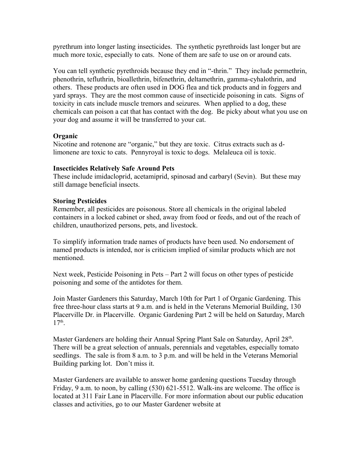pyrethrum into longer lasting insecticides. The synthetic pyrethroids last longer but are much more toxic, especially to cats. None of them are safe to use on or around cats.

You can tell synthetic pyrethroids because they end in "-thrin." They include permethrin, phenothrin, tefluthrin, bioallethrin, bifenethrin, deltamethrin, gamma-cyhalothrin, and others. These products are often used in DOG flea and tick products and in foggers and yard sprays. They are the most common cause of insecticide poisoning in cats. Signs of toxicity in cats include muscle tremors and seizures. When applied to a dog, these chemicals can poison a cat that has contact with the dog. Be picky about what you use on your dog and assume it will be transferred to your cat.

# **Organic**

Nicotine and rotenone are "organic," but they are toxic. Citrus extracts such as dlimonene are toxic to cats. Pennyroyal is toxic to dogs. Melaleuca oil is toxic.

## **Insecticides Relatively Safe Around Pets**

These include imidacloprid, acetamiprid, spinosad and carbaryl (Sevin). But these may still damage beneficial insects.

## **Storing Pesticides**

Remember, all pesticides are poisonous. Store all chemicals in the original labeled containers in a locked cabinet or shed, away from food or feeds, and out of the reach of children, unauthorized persons, pets, and livestock.

To simplify information trade names of products have been used. No endorsement of named products is intended, nor is criticism implied of similar products which are not mentioned.

Next week, Pesticide Poisoning in Pets – Part 2 will focus on other types of pesticide poisoning and some of the antidotes for them.

Join Master Gardeners this Saturday, March 10th for Part 1 of Organic Gardening. This free three-hour class starts at 9 a.m. and is held in the Veterans Memorial Building, 130 Placerville Dr. in Placerville. Organic Gardening Part 2 will be held on Saturday, March 17th .

Master Gardeners are holding their Annual Spring Plant Sale on Saturday, April 28<sup>th</sup>. There will be a great selection of annuals, perennials and vegetables, especially tomato seedlings. The sale is from 8 a.m. to 3 p.m. and will be held in the Veterans Memorial Building parking lot. Don't miss it.

Master Gardeners are available to answer home gardening questions Tuesday through Friday, 9 a.m. to noon, by calling (530) 621-5512. Walk-ins are welcome. The office is located at 311 Fair Lane in Placerville. For more information about our public education classes and activities, go to our Master Gardener website at